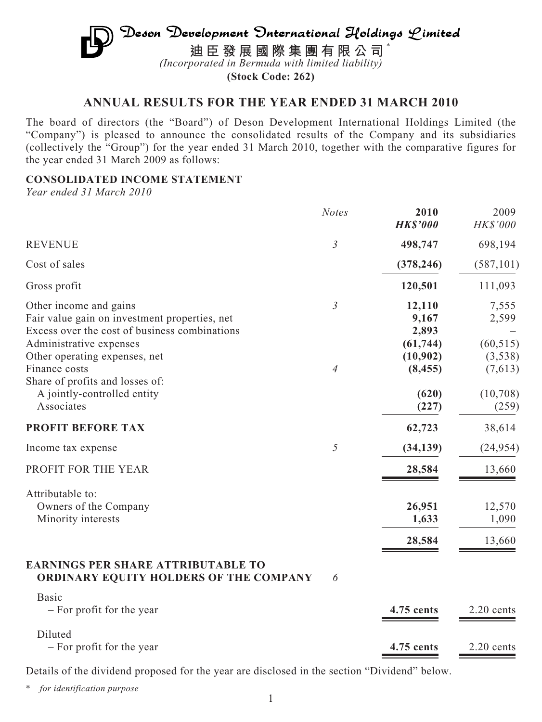# $\mathfrak{D}$ eson Development Onternational Holdings  $\mathcal{L}$ imited **迪臣發展國際集團有限公司** \* *(Incorporated in Bermuda with limited liability)*

**(Stock Code: 262)**

# **ANNUAL RESULTS FOR THE YEAR ENDED 31 MARCH 2010**

The board of directors (the "Board") of Deson Development International Holdings Limited (the "Company") is pleased to announce the consolidated results of the Company and its subsidiaries (collectively the "Group") for the year ended 31 March 2010, together with the comparative figures for the year ended 31 March 2009 as follows:

## **CONSOLIDATED INCOME STATEMENT**

*Year ended 31 March 2010*

|                                                                                                                                                                                      | <b>Notes</b>   | 2010<br><b>HK\$'000</b>                           | 2009<br>HK\$'000                       |
|--------------------------------------------------------------------------------------------------------------------------------------------------------------------------------------|----------------|---------------------------------------------------|----------------------------------------|
| <b>REVENUE</b>                                                                                                                                                                       | $\mathfrak{Z}$ | 498,747                                           | 698,194                                |
| Cost of sales                                                                                                                                                                        |                | (378, 246)                                        | (587, 101)                             |
| Gross profit                                                                                                                                                                         |                | 120,501                                           | 111,093                                |
| Other income and gains<br>Fair value gain on investment properties, net<br>Excess over the cost of business combinations<br>Administrative expenses<br>Other operating expenses, net | $\mathfrak{Z}$ | 12,110<br>9,167<br>2,893<br>(61, 744)<br>(10,902) | 7,555<br>2,599<br>(60, 515)<br>(3,538) |
| Finance costs<br>Share of profits and losses of:<br>A jointly-controlled entity<br>Associates                                                                                        | 4              | (8, 455)<br>(620)<br>(227)                        | (7,613)<br>(10,708)<br>(259)           |
| PROFIT BEFORE TAX                                                                                                                                                                    |                | 62,723                                            | 38,614                                 |
| Income tax expense                                                                                                                                                                   | 5              | (34, 139)                                         | (24, 954)                              |
| PROFIT FOR THE YEAR                                                                                                                                                                  |                | 28,584                                            | 13,660                                 |
| Attributable to:<br>Owners of the Company<br>Minority interests                                                                                                                      |                | 26,951<br>1,633<br>28,584                         | 12,570<br>1,090<br>13,660              |
| <b>EARNINGS PER SHARE ATTRIBUTABLE TO</b><br>ORDINARY EQUITY HOLDERS OF THE COMPANY                                                                                                  | 6              |                                                   |                                        |
| <b>Basic</b><br>- For profit for the year                                                                                                                                            |                | 4.75 cents                                        | 2.20 cents                             |
| Diluted<br>- For profit for the year                                                                                                                                                 |                | 4.75 cents                                        | 2.20 cents                             |

Details of the dividend proposed for the year are disclosed in the section "Dividend" below.

\* *for identification purpose*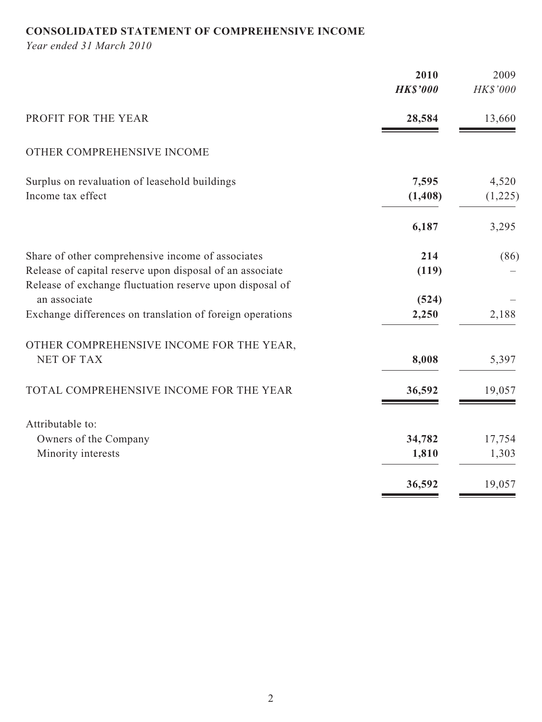# **CONSOLIDATED STATEMENT OF COMPREHENSIVE INCOME**

*Year ended 31 March 2010*

|                                                                                                               | 2010<br><b>HK\$'000</b> | 2009<br>HK\$'000 |
|---------------------------------------------------------------------------------------------------------------|-------------------------|------------------|
| PROFIT FOR THE YEAR                                                                                           | 28,584                  | 13,660           |
| OTHER COMPREHENSIVE INCOME                                                                                    |                         |                  |
| Surplus on revaluation of leasehold buildings<br>Income tax effect                                            | 7,595<br>(1, 408)       | 4,520<br>(1,225) |
|                                                                                                               | 6,187                   | 3,295            |
| Share of other comprehensive income of associates<br>Release of capital reserve upon disposal of an associate | 214<br>(119)            | (86)             |
| Release of exchange fluctuation reserve upon disposal of<br>an associate                                      | (524)                   |                  |
| Exchange differences on translation of foreign operations                                                     | 2,250                   | 2,188            |
| OTHER COMPREHENSIVE INCOME FOR THE YEAR,<br><b>NET OF TAX</b>                                                 | 8,008                   | 5,397            |
| TOTAL COMPREHENSIVE INCOME FOR THE YEAR                                                                       | 36,592                  | 19,057           |
| Attributable to:                                                                                              |                         |                  |
| Owners of the Company                                                                                         | 34,782                  | 17,754           |
| Minority interests                                                                                            | 1,810                   | 1,303            |
|                                                                                                               | 36,592                  | 19,057           |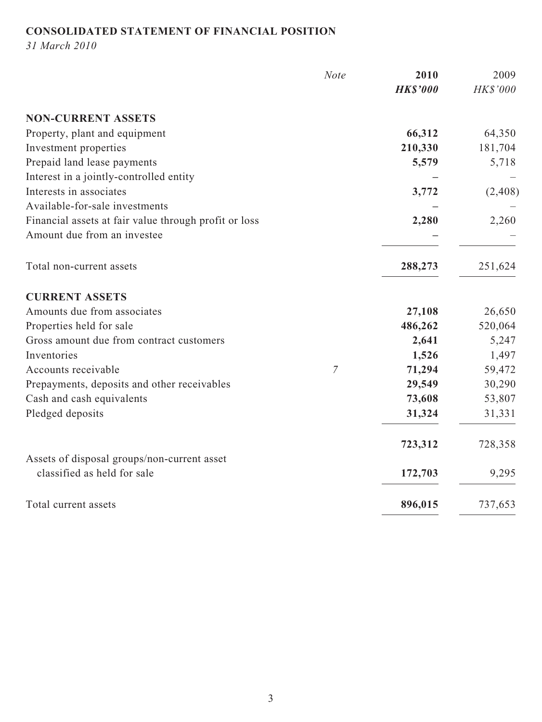# **CONSOLIDATED STATEMENT OF FINANCIAL POSITION**

*31 March 2010*

|                                                       | <b>Note</b>    | 2010            | 2009     |
|-------------------------------------------------------|----------------|-----------------|----------|
|                                                       |                | <b>HK\$'000</b> | HK\$'000 |
| <b>NON-CURRENT ASSETS</b>                             |                |                 |          |
| Property, plant and equipment                         |                | 66,312          | 64,350   |
| Investment properties                                 |                | 210,330         | 181,704  |
| Prepaid land lease payments                           |                | 5,579           | 5,718    |
| Interest in a jointly-controlled entity               |                |                 |          |
| Interests in associates                               |                | 3,772           | (2,408)  |
| Available-for-sale investments                        |                |                 |          |
| Financial assets at fair value through profit or loss |                | 2,280           | 2,260    |
| Amount due from an investee                           |                |                 |          |
| Total non-current assets                              |                | 288,273         | 251,624  |
| <b>CURRENT ASSETS</b>                                 |                |                 |          |
| Amounts due from associates                           |                | 27,108          | 26,650   |
| Properties held for sale                              |                | 486,262         | 520,064  |
| Gross amount due from contract customers              |                | 2,641           | 5,247    |
| Inventories                                           |                | 1,526           | 1,497    |
| Accounts receivable                                   | $\overline{7}$ | 71,294          | 59,472   |
| Prepayments, deposits and other receivables           |                | 29,549          | 30,290   |
| Cash and cash equivalents                             |                | 73,608          | 53,807   |
| Pledged deposits                                      |                | 31,324          | 31,331   |
|                                                       |                | 723,312         | 728,358  |
| Assets of disposal groups/non-current asset           |                |                 |          |
| classified as held for sale                           |                | 172,703         | 9,295    |
| Total current assets                                  |                | 896,015         | 737,653  |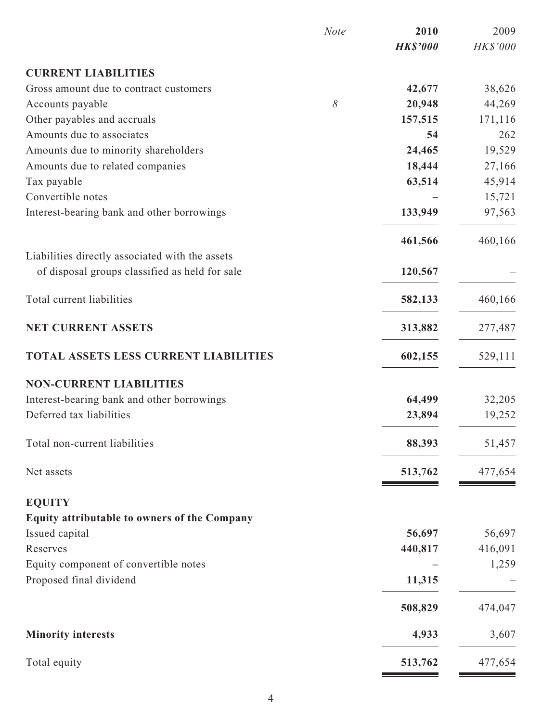|                                                 | <b>Note</b> | 2010            | 2009     |
|-------------------------------------------------|-------------|-----------------|----------|
|                                                 |             | <b>HK\$'000</b> | HK\$'000 |
| <b>CURRENT LIABILITIES</b>                      |             |                 |          |
| Gross amount due to contract customers          |             | 42,677          | 38,626   |
| Accounts payable                                | $\delta$    | 20,948          | 44,269   |
| Other payables and accruals                     |             | 157,515         | 171,116  |
| Amounts due to associates                       |             | 54              | 262      |
| Amounts due to minority shareholders            |             | 24,465          | 19,529   |
| Amounts due to related companies                |             | 18,444          | 27,166   |
| Tax payable                                     |             | 63,514          | 45,914   |
| Convertible notes                               |             |                 | 15,721   |
| Interest-bearing bank and other borrowings      |             | 133,949         | 97,563   |
|                                                 |             | 461,566         | 460,166  |
| Liabilities directly associated with the assets |             |                 |          |
| of disposal groups classified as held for sale  |             | 120,567         |          |
| Total current liabilities                       |             | 582,133         | 460,166  |
| <b>NET CURRENT ASSETS</b>                       |             | 313,882         | 277,487  |
| <b>TOTAL ASSETS LESS CURRENT LIABILITIES</b>    |             | 602,155         | 529,111  |
| <b>NON-CURRENT LIABILITIES</b>                  |             |                 |          |
| Interest-bearing bank and other borrowings      |             | 64,499          | 32,205   |
| Deferred tax liabilities                        |             | 23,894          | 19,252   |
| Total non-current liabilities                   |             | 88,393          | 51,457   |
| Net assets                                      |             | 513,762         | 477,654  |
| <b>EQUITY</b>                                   |             |                 |          |
| Equity attributable to owners of the Company    |             |                 |          |
| Issued capital                                  |             | 56,697          | 56,697   |
| Reserves                                        |             | 440,817         | 416,091  |
| Equity component of convertible notes           |             |                 | 1,259    |
| Proposed final dividend                         |             | 11,315          |          |
|                                                 |             | 508,829         | 474,047  |
| <b>Minority interests</b>                       |             | 4,933           | 3,607    |
| Total equity                                    |             | 513,762         | 477,654  |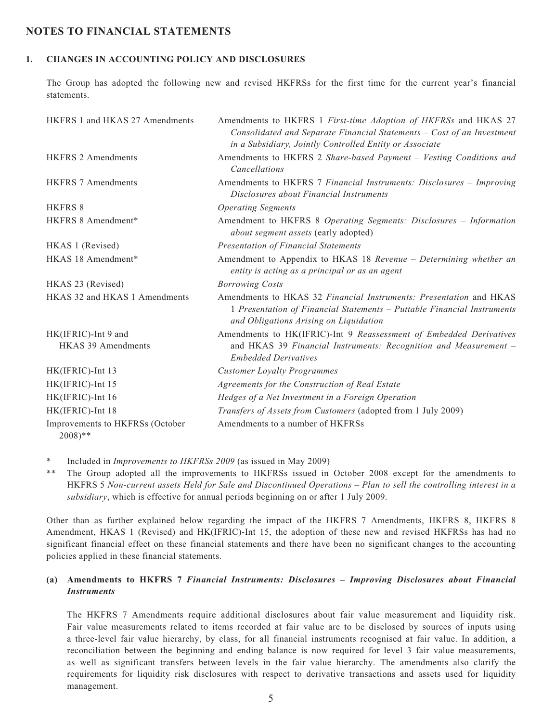## **NOTES TO FINANCIAL STATEMENTS**

## **1. CHANGES IN ACCOUNTING POLICY AND DISCLOSURES**

The Group has adopted the following new and revised HKFRSs for the first time for the current year's financial statements.

| HKFRS 1 and HKAS 27 Amendments                          | Amendments to HKFRS 1 First-time Adoption of HKFRSs and HKAS 27<br>Consolidated and Separate Financial Statements - Cost of an Investment<br>in a Subsidiary, Jointly Controlled Entity or Associate |
|---------------------------------------------------------|------------------------------------------------------------------------------------------------------------------------------------------------------------------------------------------------------|
| <b>HKFRS 2 Amendments</b>                               | Amendments to HKFRS 2 Share-based Payment - Vesting Conditions and<br><b>Cancellations</b>                                                                                                           |
| <b>HKFRS 7 Amendments</b>                               | Amendments to HKFRS 7 Financial Instruments: Disclosures - Improving<br>Disclosures about Financial Instruments                                                                                      |
| <b>HKFRS 8</b>                                          | <b>Operating Segments</b>                                                                                                                                                                            |
| HKFRS 8 Amendment*                                      | Amendment to HKFRS 8 Operating Segments: Disclosures - Information<br>about segment assets (early adopted)                                                                                           |
| HKAS 1 (Revised)                                        | <b>Presentation of Financial Statements</b>                                                                                                                                                          |
| HKAS 18 Amendment*                                      | Amendment to Appendix to HKAS 18 Revenue - Determining whether an<br>entity is acting as a principal or as an agent                                                                                  |
| HKAS 23 (Revised)                                       | <b>Borrowing Costs</b>                                                                                                                                                                               |
| HKAS 32 and HKAS 1 Amendments                           | Amendments to HKAS 32 Financial Instruments: Presentation and HKAS<br>1 Presentation of Financial Statements - Puttable Financial Instruments<br>and Obligations Arising on Liquidation              |
| HK(IFRIC)-Int 9 and                                     | Amendments to HK(IFRIC)-Int 9 Reassessment of Embedded Derivatives                                                                                                                                   |
| <b>HKAS 39 Amendments</b>                               | and HKAS 39 Financial Instruments: Recognition and Measurement -<br><b>Embedded Derivatives</b>                                                                                                      |
| HK(IFRIC)-Int 13                                        | <b>Customer Loyalty Programmes</b>                                                                                                                                                                   |
| HK(IFRIC)-Int 15                                        | Agreements for the Construction of Real Estate                                                                                                                                                       |
| HK(IFRIC)-Int 16                                        | Hedges of a Net Investment in a Foreign Operation                                                                                                                                                    |
| HK(IFRIC)-Int 18                                        | Transfers of Assets from Customers (adopted from 1 July 2009)                                                                                                                                        |
| Improvements to HKFRSs (October<br>$2008$ <sup>**</sup> | Amendments to a number of HKFRSs                                                                                                                                                                     |

\* Included in *Improvements to HKFRSs 2009* (as issued in May 2009)

\*\* The Group adopted all the improvements to HKFRSs issued in October 2008 except for the amendments to HKFRS 5 *Non-current assets Held for Sale and Discontinued Operations – Plan to sell the controlling interest in a subsidiary*, which is effective for annual periods beginning on or after 1 July 2009.

Other than as further explained below regarding the impact of the HKFRS 7 Amendments, HKFRS 8, HKFRS 8 Amendment, HKAS 1 (Revised) and HK(IFRIC)-Int 15, the adoption of these new and revised HKFRSs has had no significant financial effect on these financial statements and there have been no significant changes to the accounting policies applied in these financial statements.

### **(a) Amendments to HKFRS 7** *Financial Instruments: Disclosures – Improving Disclosures about Financial Instruments*

The HKFRS 7 Amendments require additional disclosures about fair value measurement and liquidity risk. Fair value measurements related to items recorded at fair value are to be disclosed by sources of inputs using a three-level fair value hierarchy, by class, for all financial instruments recognised at fair value. In addition, a reconciliation between the beginning and ending balance is now required for level 3 fair value measurements, as well as significant transfers between levels in the fair value hierarchy. The amendments also clarify the requirements for liquidity risk disclosures with respect to derivative transactions and assets used for liquidity management.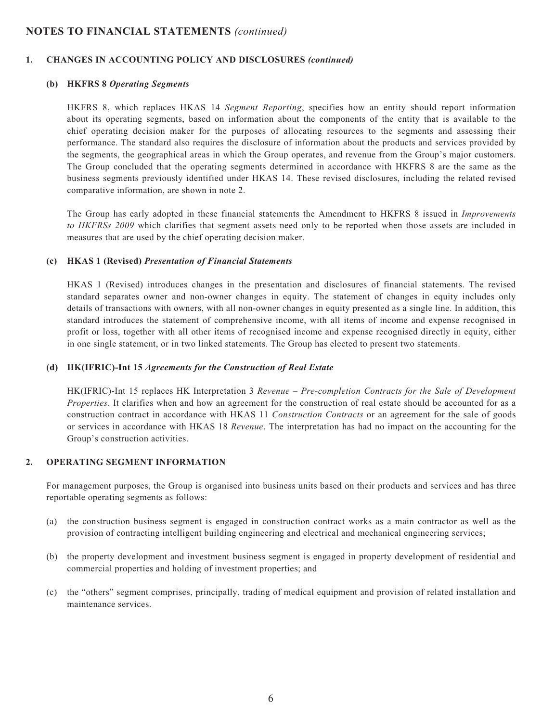#### **1. CHANGES IN ACCOUNTING POLICY AND DISCLOSURES** *(continued)*

#### **(b) HKFRS 8** *Operating Segments*

HKFRS 8, which replaces HKAS 14 *Segment Reporting*, specifies how an entity should report information about its operating segments, based on information about the components of the entity that is available to the chief operating decision maker for the purposes of allocating resources to the segments and assessing their performance. The standard also requires the disclosure of information about the products and services provided by the segments, the geographical areas in which the Group operates, and revenue from the Group's major customers. The Group concluded that the operating segments determined in accordance with HKFRS 8 are the same as the business segments previously identified under HKAS 14. These revised disclosures, including the related revised comparative information, are shown in note 2.

The Group has early adopted in these financial statements the Amendment to HKFRS 8 issued in *Improvements to HKFRSs 2009* which clarifies that segment assets need only to be reported when those assets are included in measures that are used by the chief operating decision maker.

#### **(c) HKAS 1 (Revised)** *Presentation of Financial Statements*

HKAS 1 (Revised) introduces changes in the presentation and disclosures of financial statements. The revised standard separates owner and non-owner changes in equity. The statement of changes in equity includes only details of transactions with owners, with all non-owner changes in equity presented as a single line. In addition, this standard introduces the statement of comprehensive income, with all items of income and expense recognised in profit or loss, together with all other items of recognised income and expense recognised directly in equity, either in one single statement, or in two linked statements. The Group has elected to present two statements.

#### **(d) HK(IFRIC)-Int 15** *Agreements for the Construction of Real Estate*

HK(IFRIC)-Int 15 replaces HK Interpretation 3 *Revenue* – *Pre-completion Contracts for the Sale of Development Properties*. It clarifies when and how an agreement for the construction of real estate should be accounted for as a construction contract in accordance with HKAS 11 *Construction Contracts* or an agreement for the sale of goods or services in accordance with HKAS 18 *Revenue*. The interpretation has had no impact on the accounting for the Group's construction activities.

#### **2. OPERATING SEGMENT INFORMATION**

For management purposes, the Group is organised into business units based on their products and services and has three reportable operating segments as follows:

- (a) the construction business segment is engaged in construction contract works as a main contractor as well as the provision of contracting intelligent building engineering and electrical and mechanical engineering services;
- (b) the property development and investment business segment is engaged in property development of residential and commercial properties and holding of investment properties; and
- (c) the "others" segment comprises, principally, trading of medical equipment and provision of related installation and maintenance services.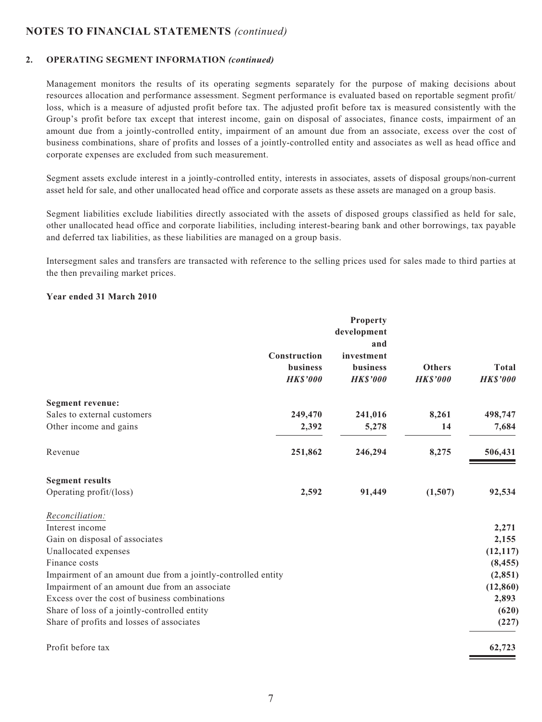### **2. OPERATING SEGMENT INFORMATION** *(continued)*

Management monitors the results of its operating segments separately for the purpose of making decisions about resources allocation and performance assessment. Segment performance is evaluated based on reportable segment profit/ loss, which is a measure of adjusted profit before tax. The adjusted profit before tax is measured consistently with the Group's profit before tax except that interest income, gain on disposal of associates, finance costs, impairment of an amount due from a jointly-controlled entity, impairment of an amount due from an associate, excess over the cost of business combinations, share of profits and losses of a jointly-controlled entity and associates as well as head office and corporate expenses are excluded from such measurement.

Segment assets exclude interest in a jointly-controlled entity, interests in associates, assets of disposal groups/non-current asset held for sale, and other unallocated head office and corporate assets as these assets are managed on a group basis.

Segment liabilities exclude liabilities directly associated with the assets of disposed groups classified as held for sale, other unallocated head office and corporate liabilities, including interest-bearing bank and other borrowings, tax payable and deferred tax liabilities, as these liabilities are managed on a group basis.

Intersegment sales and transfers are transacted with reference to the selling prices used for sales made to third parties at the then prevailing market prices.

#### **Year ended 31 March 2010**

|                                                              |                 | <b>Property</b> |                 |                 |
|--------------------------------------------------------------|-----------------|-----------------|-----------------|-----------------|
|                                                              |                 | development     |                 |                 |
|                                                              |                 | and             |                 |                 |
|                                                              | Construction    | investment      |                 |                 |
|                                                              | <b>business</b> | business        | <b>Others</b>   | Total           |
|                                                              | <b>HK\$'000</b> | <b>HK\$'000</b> | <b>HK\$'000</b> | <b>HK\$'000</b> |
| Segment revenue:                                             |                 |                 |                 |                 |
| Sales to external customers                                  | 249,470         | 241,016         | 8,261           | 498,747         |
| Other income and gains                                       | 2,392           | 5,278           | 14              | 7,684           |
| Revenue                                                      | 251,862         | 246,294         | 8,275           | 506,431         |
| <b>Segment results</b>                                       |                 |                 |                 |                 |
| Operating profit/(loss)                                      | 2,592           | 91,449          | (1,507)         | 92,534          |
| Reconciliation:                                              |                 |                 |                 |                 |
| Interest income                                              |                 |                 |                 | 2,271           |
| Gain on disposal of associates                               |                 |                 |                 | 2,155           |
| Unallocated expenses                                         |                 |                 |                 | (12, 117)       |
| Finance costs                                                |                 |                 |                 | (8, 455)        |
| Impairment of an amount due from a jointly-controlled entity |                 |                 |                 | (2, 851)        |
| Impairment of an amount due from an associate                |                 |                 |                 | (12, 860)       |
| Excess over the cost of business combinations                |                 |                 |                 | 2,893           |
| Share of loss of a jointly-controlled entity                 |                 |                 |                 | (620)           |
| Share of profits and losses of associates                    |                 |                 |                 | (227)           |
| Profit before tax                                            |                 |                 |                 | 62,723          |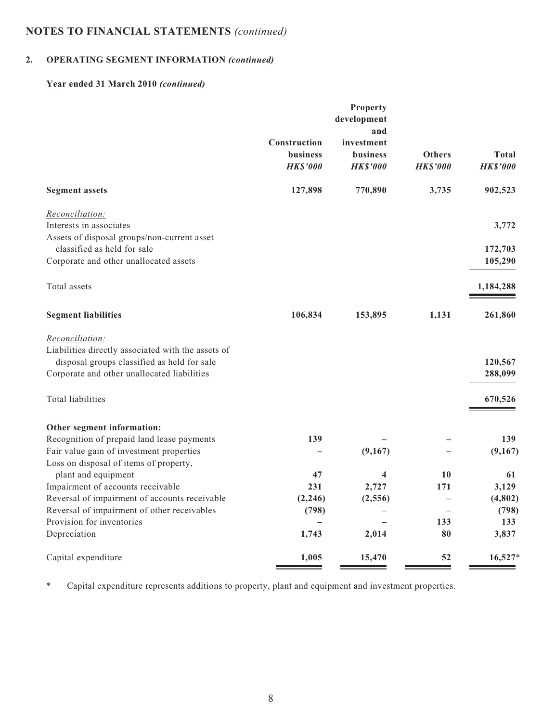# **2. OPERATING SEGMENT INFORMATION** *(continued)*

## **Year ended 31 March 2010** *(continued)*

|                                                               | Construction    | Property<br>development<br>and<br>investment |                 |                 |
|---------------------------------------------------------------|-----------------|----------------------------------------------|-----------------|-----------------|
|                                                               | <b>business</b> | <b>business</b>                              | <b>Others</b>   | <b>Total</b>    |
|                                                               | <b>HK\$'000</b> | <b>HK\$'000</b>                              | <b>HK\$'000</b> | <b>HK\$'000</b> |
| <b>Segment assets</b>                                         | 127,898         | 770,890                                      | 3,735           | 902,523         |
| Reconciliation:                                               |                 |                                              |                 |                 |
| Interests in associates                                       |                 |                                              |                 | 3,772           |
| Assets of disposal groups/non-current asset                   |                 |                                              |                 |                 |
| classified as held for sale                                   |                 |                                              |                 | 172,703         |
| Corporate and other unallocated assets                        |                 |                                              |                 | 105,290         |
| Total assets                                                  |                 |                                              |                 | 1,184,288       |
| <b>Segment liabilities</b>                                    | 106,834         | 153,895                                      | 1,131           | 261,860         |
| Reconciliation:                                               |                 |                                              |                 |                 |
| Liabilities directly associated with the assets of            |                 |                                              |                 |                 |
| disposal groups classified as held for sale                   |                 |                                              |                 | 120,567         |
| Corporate and other unallocated liabilities                   |                 |                                              |                 | 288,099         |
| Total liabilities                                             |                 |                                              |                 | 670,526         |
| Other segment information:                                    |                 |                                              |                 |                 |
| Recognition of prepaid land lease payments                    | 139             |                                              |                 | 139             |
| Fair value gain of investment properties                      |                 | (9,167)                                      |                 | (9,167)         |
| Loss on disposal of items of property,<br>plant and equipment | 47              | 4                                            | 10              | 61              |
| Impairment of accounts receivable                             | 231             | 2,727                                        | 171             | 3,129           |
| Reversal of impairment of accounts receivable                 | (2, 246)        | (2, 556)                                     |                 | (4,802)         |
| Reversal of impairment of other receivables                   | (798)           |                                              |                 | (798)           |
| Provision for inventories                                     |                 |                                              | 133             | 133             |
| Depreciation                                                  | 1,743           | 2,014                                        | 80              | 3,837           |
| Capital expenditure                                           | 1,005           | 15,470                                       | 52              | $16,527*$       |

\* Capital expenditure represents additions to property, plant and equipment and investment properties.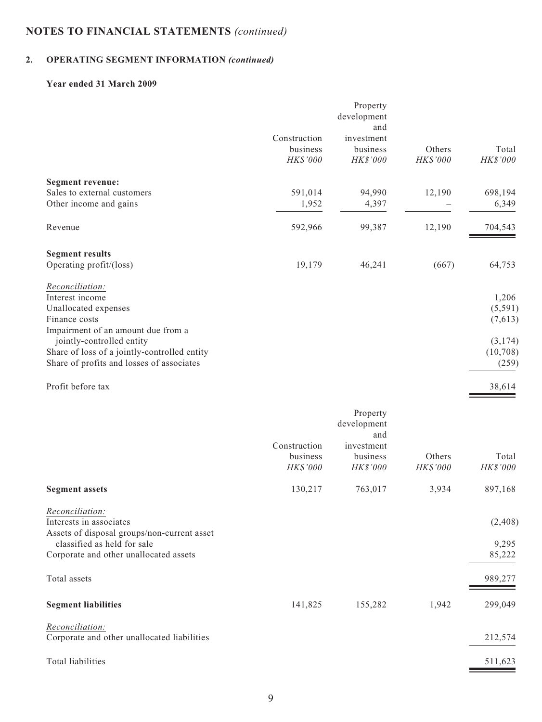# **2. OPERATING SEGMENT INFORMATION** *(continued)*

## **Year ended 31 March 2009**

|                                                                                                                                                                    | Construction<br>business<br>HK\$'000 | Property<br>development<br>and<br>investment<br>business<br>HK\$'000 | Others<br>HK\$'000 | Total<br>HK\$'000            |
|--------------------------------------------------------------------------------------------------------------------------------------------------------------------|--------------------------------------|----------------------------------------------------------------------|--------------------|------------------------------|
| <b>Segment revenue:</b>                                                                                                                                            |                                      |                                                                      |                    |                              |
| Sales to external customers<br>Other income and gains                                                                                                              | 591,014<br>1,952                     | 94,990<br>4,397                                                      | 12,190             | 698,194<br>6,349             |
| Revenue                                                                                                                                                            | 592,966                              | 99,387                                                               | 12,190             | 704,543                      |
| <b>Segment results</b>                                                                                                                                             |                                      |                                                                      |                    |                              |
| Operating profit/(loss)                                                                                                                                            | 19,179                               | 46,241                                                               | (667)              | 64,753                       |
| Reconciliation:<br>Interest income<br>Unallocated expenses<br>Finance costs<br>Impairment of an amount due from a                                                  |                                      |                                                                      |                    | 1,206<br>(5,591)<br>(7,613)  |
| jointly-controlled entity<br>Share of loss of a jointly-controlled entity<br>Share of profits and losses of associates                                             |                                      |                                                                      |                    | (3,174)<br>(10,708)<br>(259) |
| Profit before tax                                                                                                                                                  |                                      |                                                                      |                    | 38,614                       |
|                                                                                                                                                                    | Construction<br>business<br>HK\$'000 | Property<br>development<br>and<br>investment<br>business<br>HK\$'000 | Others<br>HK\$'000 | Total<br>HK\$'000            |
| <b>Segment assets</b>                                                                                                                                              | 130,217                              | 763,017                                                              | 3,934              | 897,168                      |
| Reconciliation:<br>Interests in associates<br>Assets of disposal groups/non-current asset<br>classified as held for sale<br>Corporate and other unallocated assets |                                      |                                                                      |                    | (2, 408)<br>9,295<br>85,222  |
| Total assets                                                                                                                                                       |                                      |                                                                      |                    | 989,277                      |
| <b>Segment liabilities</b>                                                                                                                                         | 141,825                              | 155,282                                                              | 1,942              | 299,049                      |
| Reconciliation:<br>Corporate and other unallocated liabilities                                                                                                     |                                      |                                                                      |                    | 212,574                      |
| Total liabilities                                                                                                                                                  |                                      |                                                                      |                    | 511,623                      |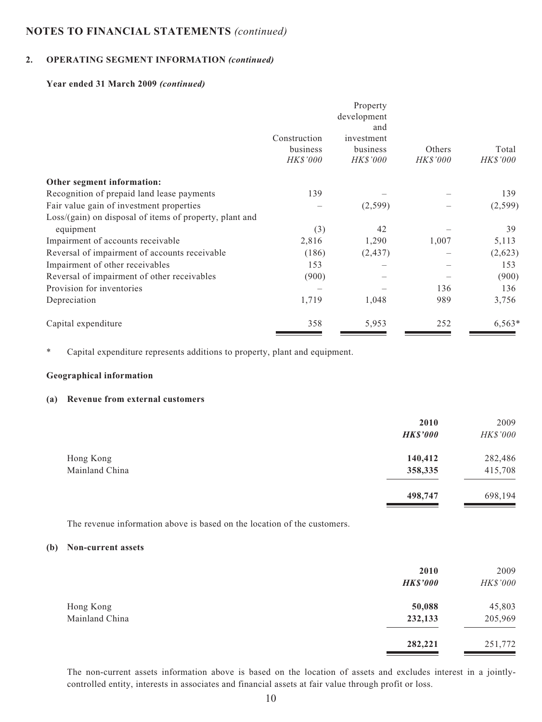#### **2. OPERATING SEGMENT INFORMATION** *(continued)*

#### **Year ended 31 March 2009** *(continued)*

|                                                           | Construction<br>business<br><b>HK\$'000</b> | Property<br>development<br>and<br>investment<br>business<br><b>HK\$'000</b> | Others<br><b>HK\$'000</b> | Total<br><i>HK\$'000</i> |
|-----------------------------------------------------------|---------------------------------------------|-----------------------------------------------------------------------------|---------------------------|--------------------------|
|                                                           |                                             |                                                                             |                           |                          |
| Other segment information:                                |                                             |                                                                             |                           |                          |
| Recognition of prepaid land lease payments                | 139                                         |                                                                             |                           | 139                      |
| Fair value gain of investment properties                  |                                             | (2,599)                                                                     |                           | (2,599)                  |
| $Loss/(gain)$ on disposal of items of property, plant and |                                             |                                                                             |                           |                          |
| equipment                                                 | (3)                                         | 42                                                                          |                           | 39                       |
| Impairment of accounts receivable                         | 2,816                                       | 1,290                                                                       | 1,007                     | 5,113                    |
| Reversal of impairment of accounts receivable             | (186)                                       | (2, 437)                                                                    |                           | (2,623)                  |
| Impairment of other receivables                           | 153                                         |                                                                             |                           | 153                      |
| Reversal of impairment of other receivables               | (900)                                       |                                                                             |                           | (900)                    |
| Provision for inventories                                 |                                             |                                                                             | 136                       | 136                      |
| Depreciation                                              | 1,719                                       | 1,048                                                                       | 989                       | 3,756                    |
| Capital expenditure                                       | 358                                         | 5,953                                                                       | 252                       | $6,563*$                 |

\* Capital expenditure represents additions to property, plant and equipment.

#### **Geographical information**

#### **(a) Revenue from external customers**

|                | 2010<br><b>HK\$'000</b> | 2009<br>HK\$'000 |
|----------------|-------------------------|------------------|
| Hong Kong      | 140,412                 | 282,486          |
| Mainland China | 358,335                 | 415,708          |
|                | 498,747                 | 698,194          |

The revenue information above is based on the location of the customers.

## **(b) Non-current assets**

|                | 2010<br><b>HK\$'000</b> | 2009<br>HK\$'000 |
|----------------|-------------------------|------------------|
| Hong Kong      | 50,088                  | 45,803           |
| Mainland China | 232,133                 | 205,969          |
|                | 282,221                 | 251,772          |

The non-current assets information above is based on the location of assets and excludes interest in a jointlycontrolled entity, interests in associates and financial assets at fair value through profit or loss.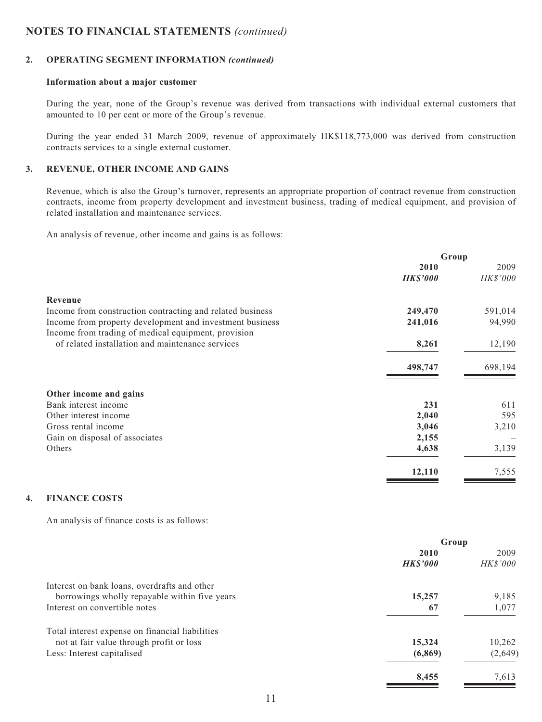#### **2. OPERATING SEGMENT INFORMATION** *(continued)*

#### **Information about a major customer**

During the year, none of the Group's revenue was derived from transactions with individual external customers that amounted to 10 per cent or more of the Group's revenue.

During the year ended 31 March 2009, revenue of approximately HK\$118,773,000 was derived from construction contracts services to a single external customer.

## **3. REVENUE, OTHER INCOME AND GAINS**

Revenue, which is also the Group's turnover, represents an appropriate proportion of contract revenue from construction contracts, income from property development and investment business, trading of medical equipment, and provision of related installation and maintenance services.

An analysis of revenue, other income and gains is as follows:

|                                                           | Group           |          |
|-----------------------------------------------------------|-----------------|----------|
|                                                           | 2010            | 2009     |
|                                                           | <b>HK\$'000</b> | HK\$'000 |
| Revenue                                                   |                 |          |
| Income from construction contracting and related business | 249,470         | 591,014  |
| Income from property development and investment business  | 241,016         | 94,990   |
| Income from trading of medical equipment, provision       |                 |          |
| of related installation and maintenance services          | 8,261           | 12,190   |
|                                                           | 498,747         | 698,194  |
| Other income and gains                                    |                 |          |
| Bank interest income                                      | 231             | 611      |
| Other interest income                                     | 2,040           | 595      |
| Gross rental income                                       | 3,046           | 3,210    |
| Gain on disposal of associates                            | 2,155           |          |
| Others                                                    | 4,638           | 3,139    |
|                                                           | 12,110          | 7,555    |
|                                                           |                 |          |

## **4. FINANCE COSTS**

An analysis of finance costs is as follows:

|                                                 | Group           |          |
|-------------------------------------------------|-----------------|----------|
|                                                 | 2010            | 2009     |
|                                                 | <b>HK\$'000</b> | HK\$'000 |
| Interest on bank loans, overdrafts and other    |                 |          |
| borrowings wholly repayable within five years   | 15,257          | 9,185    |
| Interest on convertible notes                   | 67              | 1,077    |
| Total interest expense on financial liabilities |                 |          |
| not at fair value through profit or loss        | 15,324          | 10,262   |
| Less: Interest capitalised                      | (6,869)         | (2,649)  |
|                                                 | 8,455           | 7,613    |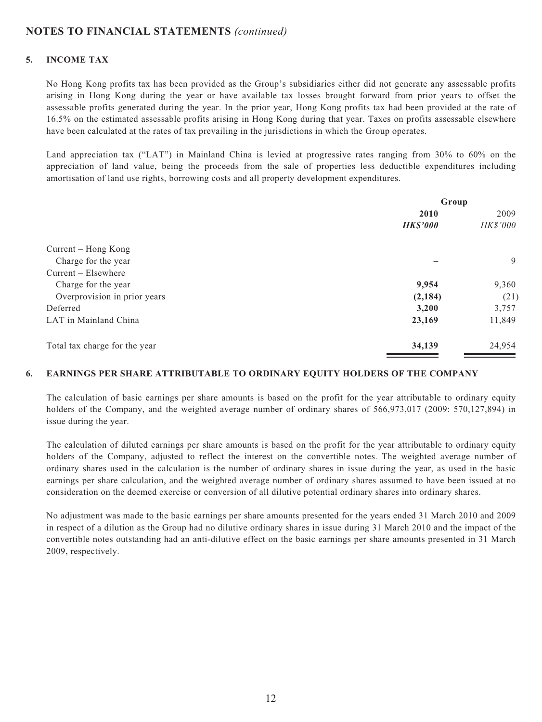## **5. INCOME TAX**

No Hong Kong profits tax has been provided as the Group's subsidiaries either did not generate any assessable profits arising in Hong Kong during the year or have available tax losses brought forward from prior years to offset the assessable profits generated during the year. In the prior year, Hong Kong profits tax had been provided at the rate of 16.5% on the estimated assessable profits arising in Hong Kong during that year. Taxes on profits assessable elsewhere have been calculated at the rates of tax prevailing in the jurisdictions in which the Group operates.

Land appreciation tax ("LAT") in Mainland China is levied at progressive rates ranging from 30% to 60% on the appreciation of land value, being the proceeds from the sale of properties less deductible expenditures including amortisation of land use rights, borrowing costs and all property development expenditures.

|                               | Group           |          |
|-------------------------------|-----------------|----------|
|                               | 2010            | 2009     |
|                               | <b>HK\$'000</b> | HK\$'000 |
| Current – Hong Kong           |                 |          |
| Charge for the year           |                 | 9        |
| $Current - Elsewhere$         |                 |          |
| Charge for the year           | 9,954           | 9,360    |
| Overprovision in prior years  | (2,184)         | (21)     |
| Deferred                      | 3,200           | 3,757    |
| LAT in Mainland China         | 23,169          | 11,849   |
| Total tax charge for the year | 34,139          | 24,954   |

#### **6. EARNINGS PER SHARE ATTRIBUTABLE TO ORDINARY EQUITY HOLDERS OF THE COMPANY**

The calculation of basic earnings per share amounts is based on the profit for the year attributable to ordinary equity holders of the Company, and the weighted average number of ordinary shares of 566,973,017 (2009: 570,127,894) in issue during the year.

The calculation of diluted earnings per share amounts is based on the profit for the year attributable to ordinary equity holders of the Company, adjusted to reflect the interest on the convertible notes. The weighted average number of ordinary shares used in the calculation is the number of ordinary shares in issue during the year, as used in the basic earnings per share calculation, and the weighted average number of ordinary shares assumed to have been issued at no consideration on the deemed exercise or conversion of all dilutive potential ordinary shares into ordinary shares.

No adjustment was made to the basic earnings per share amounts presented for the years ended 31 March 2010 and 2009 in respect of a dilution as the Group had no dilutive ordinary shares in issue during 31 March 2010 and the impact of the convertible notes outstanding had an anti-dilutive effect on the basic earnings per share amounts presented in 31 March 2009, respectively.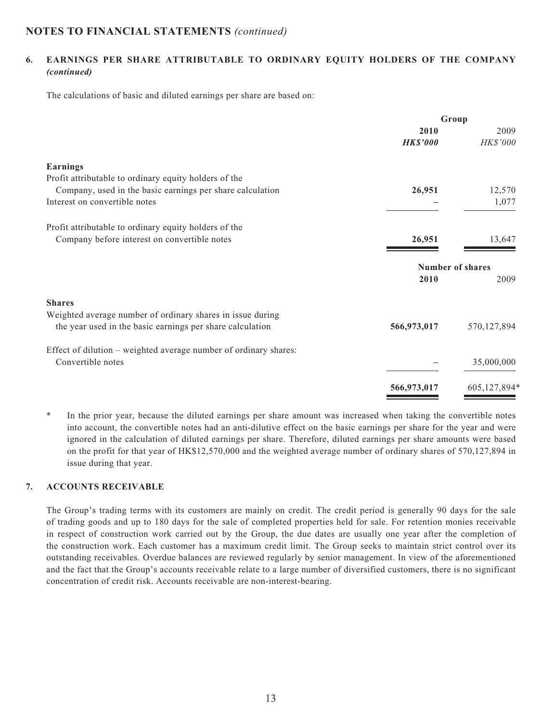## **6. EARNINGS PER SHARE ATTRIBUTABLE TO ORDINARY EQUITY HOLDERS OF THE COMPANY**  *(continued)*

The calculations of basic and diluted earnings per share are based on:

|                                                                  | Group                   |              |
|------------------------------------------------------------------|-------------------------|--------------|
|                                                                  | 2010                    | 2009         |
|                                                                  | <b>HK\$'000</b>         | HK\$'000     |
| <b>Earnings</b>                                                  |                         |              |
| Profit attributable to ordinary equity holders of the            |                         |              |
| Company, used in the basic earnings per share calculation        | 26,951                  | 12,570       |
| Interest on convertible notes                                    |                         | 1,077        |
| Profit attributable to ordinary equity holders of the            |                         |              |
| Company before interest on convertible notes                     | 26,951                  | 13,647       |
|                                                                  | <b>Number of shares</b> |              |
|                                                                  | 2010                    | 2009         |
| <b>Shares</b>                                                    |                         |              |
| Weighted average number of ordinary shares in issue during       |                         |              |
| the year used in the basic earnings per share calculation        | 566,973,017             | 570,127,894  |
| Effect of dilution – weighted average number of ordinary shares: |                         |              |
| Convertible notes                                                |                         | 35,000,000   |
|                                                                  | 566,973,017             | 605,127,894* |

\* In the prior year, because the diluted earnings per share amount was increased when taking the convertible notes into account, the convertible notes had an anti-dilutive effect on the basic earnings per share for the year and were ignored in the calculation of diluted earnings per share. Therefore, diluted earnings per share amounts were based on the profit for that year of HK\$12,570,000 and the weighted average number of ordinary shares of 570,127,894 in issue during that year.

## **7. ACCOUNTS RECEIVABLE**

The Group's trading terms with its customers are mainly on credit. The credit period is generally 90 days for the sale of trading goods and up to 180 days for the sale of completed properties held for sale. For retention monies receivable in respect of construction work carried out by the Group, the due dates are usually one year after the completion of the construction work. Each customer has a maximum credit limit. The Group seeks to maintain strict control over its outstanding receivables. Overdue balances are reviewed regularly by senior management. In view of the aforementioned and the fact that the Group's accounts receivable relate to a large number of diversified customers, there is no significant concentration of credit risk. Accounts receivable are non-interest-bearing.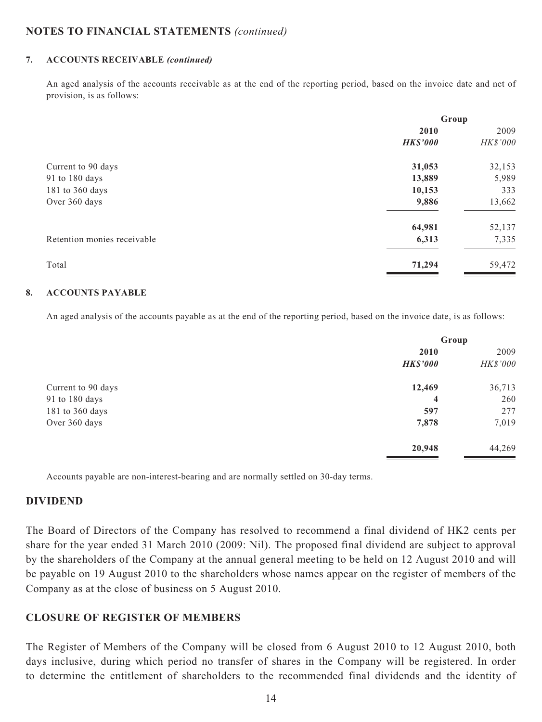### **7. ACCOUNTS RECEIVABLE** *(continued)*

An aged analysis of the accounts receivable as at the end of the reporting period, based on the invoice date and net of provision, is as follows:

|                             | Group           |          |
|-----------------------------|-----------------|----------|
|                             | 2010            | 2009     |
|                             | <b>HK\$'000</b> | HK\$'000 |
| Current to 90 days          | 31,053          | 32,153   |
| 91 to 180 days              | 13,889          | 5,989    |
| 181 to 360 days             | 10,153          | 333      |
| Over 360 days               | 9,886           | 13,662   |
|                             | 64,981          | 52,137   |
| Retention monies receivable | 6,313           | 7,335    |
| Total                       | 71,294          | 59,472   |

## **8. ACCOUNTS PAYABLE**

An aged analysis of the accounts payable as at the end of the reporting period, based on the invoice date, is as follows:

|                    |                 | Group    |  |
|--------------------|-----------------|----------|--|
|                    | 2010            | 2009     |  |
|                    | <b>HK\$'000</b> | HK\$'000 |  |
| Current to 90 days | 12,469          | 36,713   |  |
| 91 to 180 days     | $\overline{4}$  | 260      |  |
| 181 to 360 days    | 597             | 277      |  |
| Over 360 days      | 7,878           | 7,019    |  |
|                    | 20,948          | 44,269   |  |
|                    |                 |          |  |

Accounts payable are non-interest-bearing and are normally settled on 30-day terms.

## **DIVIDEND**

The Board of Directors of the Company has resolved to recommend a final dividend of HK2 cents per share for the year ended 31 March 2010 (2009: Nil). The proposed final dividend are subject to approval by the shareholders of the Company at the annual general meeting to be held on 12 August 2010 and will be payable on 19 August 2010 to the shareholders whose names appear on the register of members of the Company as at the close of business on 5 August 2010.

## **CLOSURE OF REGISTER OF MEMBERS**

The Register of Members of the Company will be closed from 6 August 2010 to 12 August 2010, both days inclusive, during which period no transfer of shares in the Company will be registered. In order to determine the entitlement of shareholders to the recommended final dividends and the identity of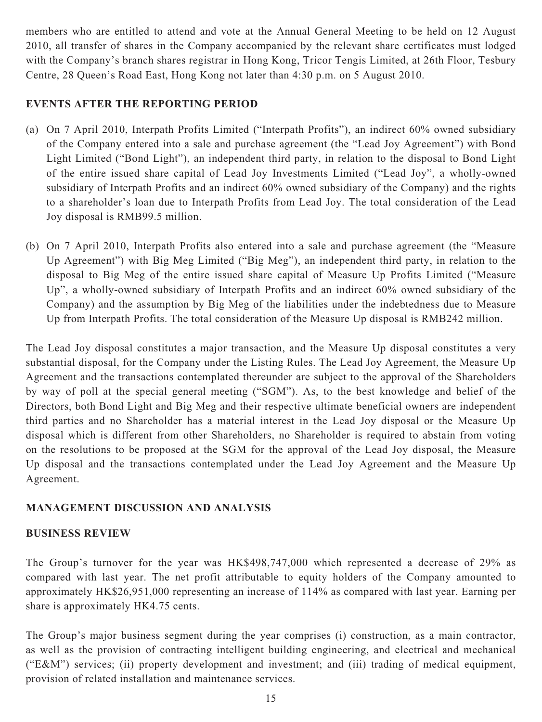members who are entitled to attend and vote at the Annual General Meeting to be held on 12 August 2010, all transfer of shares in the Company accompanied by the relevant share certificates must lodged with the Company's branch shares registrar in Hong Kong, Tricor Tengis Limited, at 26th Floor, Tesbury Centre, 28 Queen's Road East, Hong Kong not later than 4:30 p.m. on 5 August 2010.

# **EVENTS AFTER THE REPORTING PERIOD**

- (a) On 7 April 2010, Interpath Profits Limited ("Interpath Profits"), an indirect 60% owned subsidiary of the Company entered into a sale and purchase agreement (the "Lead Joy Agreement") with Bond Light Limited ("Bond Light"), an independent third party, in relation to the disposal to Bond Light of the entire issued share capital of Lead Joy Investments Limited ("Lead Joy", a wholly-owned subsidiary of Interpath Profits and an indirect 60% owned subsidiary of the Company) and the rights to a shareholder's loan due to Interpath Profits from Lead Joy. The total consideration of the Lead Joy disposal is RMB99.5 million.
- (b) On 7 April 2010, Interpath Profits also entered into a sale and purchase agreement (the "Measure Up Agreement") with Big Meg Limited ("Big Meg"), an independent third party, in relation to the disposal to Big Meg of the entire issued share capital of Measure Up Profits Limited ("Measure Up", a wholly-owned subsidiary of Interpath Profits and an indirect 60% owned subsidiary of the Company) and the assumption by Big Meg of the liabilities under the indebtedness due to Measure Up from Interpath Profits. The total consideration of the Measure Up disposal is RMB242 million.

The Lead Joy disposal constitutes a major transaction, and the Measure Up disposal constitutes a very substantial disposal, for the Company under the Listing Rules. The Lead Joy Agreement, the Measure Up Agreement and the transactions contemplated thereunder are subject to the approval of the Shareholders by way of poll at the special general meeting ("SGM"). As, to the best knowledge and belief of the Directors, both Bond Light and Big Meg and their respective ultimate beneficial owners are independent third parties and no Shareholder has a material interest in the Lead Joy disposal or the Measure Up disposal which is different from other Shareholders, no Shareholder is required to abstain from voting on the resolutions to be proposed at the SGM for the approval of the Lead Joy disposal, the Measure Up disposal and the transactions contemplated under the Lead Joy Agreement and the Measure Up Agreement.

## **MANAGEMENT DISCUSSION AND ANALYSIS**

## **BUSINESS REVIEW**

The Group's turnover for the year was HK\$498,747,000 which represented a decrease of 29% as compared with last year. The net profit attributable to equity holders of the Company amounted to approximately HK\$26,951,000 representing an increase of 114% as compared with last year. Earning per share is approximately HK4.75 cents.

The Group's major business segment during the year comprises (i) construction, as a main contractor, as well as the provision of contracting intelligent building engineering, and electrical and mechanical ("E&M") services; (ii) property development and investment; and (iii) trading of medical equipment, provision of related installation and maintenance services.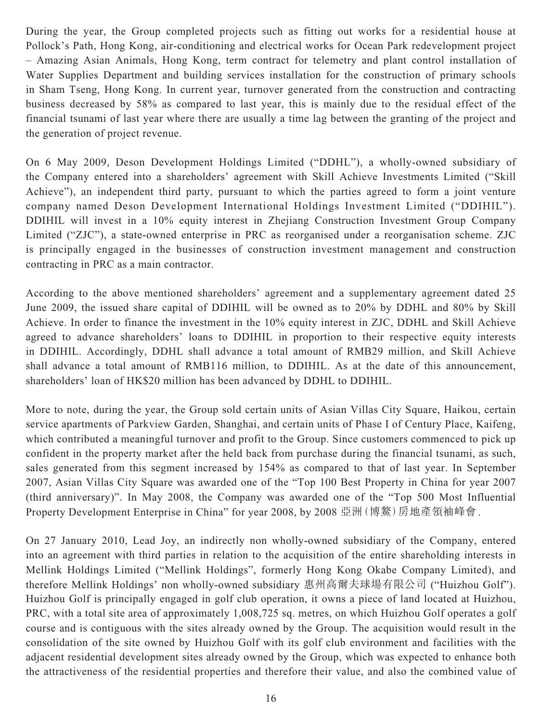During the year, the Group completed projects such as fitting out works for a residential house at Pollock's Path, Hong Kong, air-conditioning and electrical works for Ocean Park redevelopment project – Amazing Asian Animals, Hong Kong, term contract for telemetry and plant control installation of Water Supplies Department and building services installation for the construction of primary schools in Sham Tseng, Hong Kong. In current year, turnover generated from the construction and contracting business decreased by 58% as compared to last year, this is mainly due to the residual effect of the financial tsunami of last year where there are usually a time lag between the granting of the project and the generation of project revenue.

On 6 May 2009, Deson Development Holdings Limited ("DDHL"), a wholly-owned subsidiary of the Company entered into a shareholders' agreement with Skill Achieve Investments Limited ("Skill Achieve"), an independent third party, pursuant to which the parties agreed to form a joint venture company named Deson Development International Holdings Investment Limited ("DDIHIL"). DDIHIL will invest in a 10% equity interest in Zhejiang Construction Investment Group Company Limited ("ZJC"), a state-owned enterprise in PRC as reorganised under a reorganisation scheme. ZJC is principally engaged in the businesses of construction investment management and construction contracting in PRC as a main contractor.

According to the above mentioned shareholders' agreement and a supplementary agreement dated 25 June 2009, the issued share capital of DDIHIL will be owned as to 20% by DDHL and 80% by Skill Achieve. In order to finance the investment in the 10% equity interest in ZJC, DDHL and Skill Achieve agreed to advance shareholders' loans to DDIHIL in proportion to their respective equity interests in DDIHIL. Accordingly, DDHL shall advance a total amount of RMB29 million, and Skill Achieve shall advance a total amount of RMB116 million, to DDIHIL. As at the date of this announcement, shareholders' loan of HK\$20 million has been advanced by DDHL to DDIHIL.

More to note, during the year, the Group sold certain units of Asian Villas City Square, Haikou, certain service apartments of Parkview Garden, Shanghai, and certain units of Phase I of Century Place, Kaifeng, which contributed a meaningful turnover and profit to the Group. Since customers commenced to pick up confident in the property market after the held back from purchase during the financial tsunami, as such, sales generated from this segment increased by 154% as compared to that of last year. In September 2007, Asian Villas City Square was awarded one of the "Top 100 Best Property in China for year 2007 (third anniversary)". In May 2008, the Company was awarded one of the "Top 500 Most Influential Property Development Enterprise in China" for year 2008, by 2008 亞洲(博鰲)房地產領袖峰會.

On 27 January 2010, Lead Joy, an indirectly non wholly-owned subsidiary of the Company, entered into an agreement with third parties in relation to the acquisition of the entire shareholding interests in Mellink Holdings Limited ("Mellink Holdings", formerly Hong Kong Okabe Company Limited), and therefore Mellink Holdings' non wholly-owned subsidiary 惠州高爾夫球場有限公司 ("Huizhou Golf"). Huizhou Golf is principally engaged in golf club operation, it owns a piece of land located at Huizhou, PRC, with a total site area of approximately 1,008,725 sq. metres, on which Huizhou Golf operates a golf course and is contiguous with the sites already owned by the Group. The acquisition would result in the consolidation of the site owned by Huizhou Golf with its golf club environment and facilities with the adjacent residential development sites already owned by the Group, which was expected to enhance both the attractiveness of the residential properties and therefore their value, and also the combined value of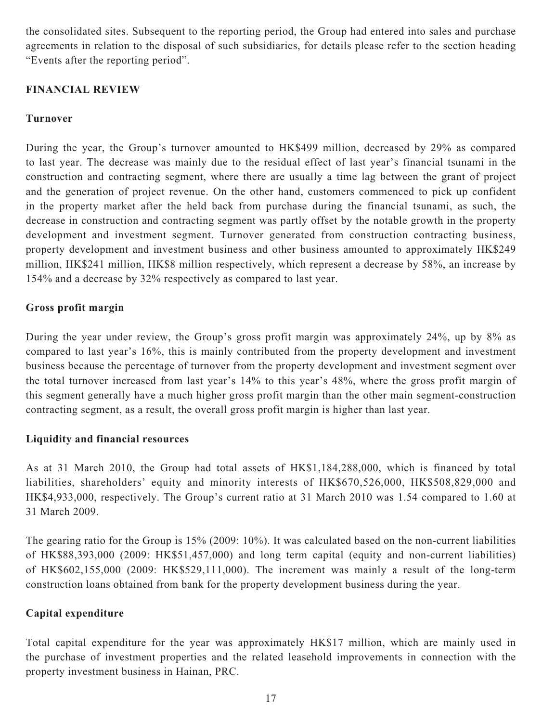the consolidated sites. Subsequent to the reporting period, the Group had entered into sales and purchase agreements in relation to the disposal of such subsidiaries, for details please refer to the section heading "Events after the reporting period".

# **FINANCIAL REVIEW**

# **Turnover**

During the year, the Group's turnover amounted to HK\$499 million, decreased by 29% as compared to last year. The decrease was mainly due to the residual effect of last year's financial tsunami in the construction and contracting segment, where there are usually a time lag between the grant of project and the generation of project revenue. On the other hand, customers commenced to pick up confident in the property market after the held back from purchase during the financial tsunami, as such, the decrease in construction and contracting segment was partly offset by the notable growth in the property development and investment segment. Turnover generated from construction contracting business, property development and investment business and other business amounted to approximately HK\$249 million, HK\$241 million, HK\$8 million respectively, which represent a decrease by 58%, an increase by 154% and a decrease by 32% respectively as compared to last year.

# **Gross profit margin**

During the year under review, the Group's gross profit margin was approximately 24%, up by 8% as compared to last year's 16%, this is mainly contributed from the property development and investment business because the percentage of turnover from the property development and investment segment over the total turnover increased from last year's 14% to this year's 48%, where the gross profit margin of this segment generally have a much higher gross profit margin than the other main segment-construction contracting segment, as a result, the overall gross profit margin is higher than last year.

## **Liquidity and financial resources**

As at 31 March 2010, the Group had total assets of HK\$1,184,288,000, which is financed by total liabilities, shareholders' equity and minority interests of HK\$670,526,000, HK\$508,829,000 and HK\$4,933,000, respectively. The Group's current ratio at 31 March 2010 was 1.54 compared to 1.60 at 31 March 2009.

The gearing ratio for the Group is 15% (2009: 10%). It was calculated based on the non-current liabilities of HK\$88,393,000 (2009: HK\$51,457,000) and long term capital (equity and non-current liabilities) of HK\$602,155,000 (2009: HK\$529,111,000). The increment was mainly a result of the long-term construction loans obtained from bank for the property development business during the year.

## **Capital expenditure**

Total capital expenditure for the year was approximately HK\$17 million, which are mainly used in the purchase of investment properties and the related leasehold improvements in connection with the property investment business in Hainan, PRC.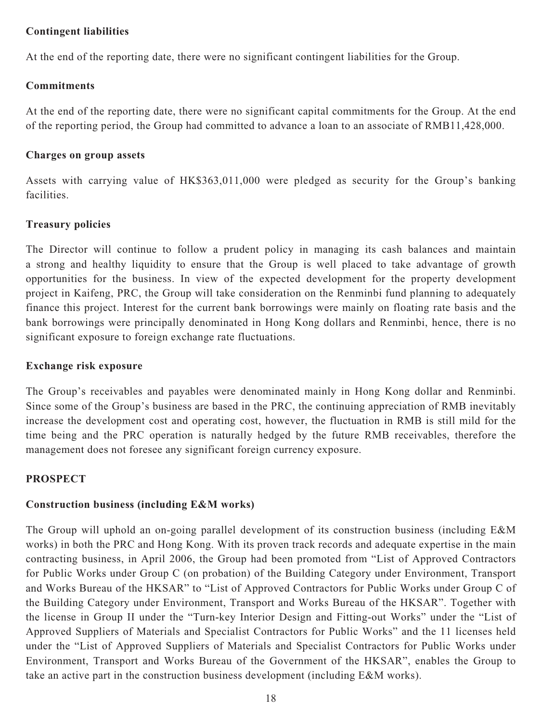## **Contingent liabilities**

At the end of the reporting date, there were no significant contingent liabilities for the Group.

## **Commitments**

At the end of the reporting date, there were no significant capital commitments for the Group. At the end of the reporting period, the Group had committed to advance a loan to an associate of RMB11,428,000.

## **Charges on group assets**

Assets with carrying value of HK\$363,011,000 were pledged as security for the Group's banking facilities.

## **Treasury policies**

The Director will continue to follow a prudent policy in managing its cash balances and maintain a strong and healthy liquidity to ensure that the Group is well placed to take advantage of growth opportunities for the business. In view of the expected development for the property development project in Kaifeng, PRC, the Group will take consideration on the Renminbi fund planning to adequately finance this project. Interest for the current bank borrowings were mainly on floating rate basis and the bank borrowings were principally denominated in Hong Kong dollars and Renminbi, hence, there is no significant exposure to foreign exchange rate fluctuations.

## **Exchange risk exposure**

The Group's receivables and payables were denominated mainly in Hong Kong dollar and Renminbi. Since some of the Group's business are based in the PRC, the continuing appreciation of RMB inevitably increase the development cost and operating cost, however, the fluctuation in RMB is still mild for the time being and the PRC operation is naturally hedged by the future RMB receivables, therefore the management does not foresee any significant foreign currency exposure.

## **PROSPECT**

## **Construction business (including E&M works)**

The Group will uphold an on-going parallel development of its construction business (including E&M works) in both the PRC and Hong Kong. With its proven track records and adequate expertise in the main contracting business, in April 2006, the Group had been promoted from "List of Approved Contractors for Public Works under Group C (on probation) of the Building Category under Environment, Transport and Works Bureau of the HKSAR" to "List of Approved Contractors for Public Works under Group C of the Building Category under Environment, Transport and Works Bureau of the HKSAR". Together with the license in Group II under the "Turn-key Interior Design and Fitting-out Works" under the "List of Approved Suppliers of Materials and Specialist Contractors for Public Works" and the 11 licenses held under the "List of Approved Suppliers of Materials and Specialist Contractors for Public Works under Environment, Transport and Works Bureau of the Government of the HKSAR", enables the Group to take an active part in the construction business development (including E&M works).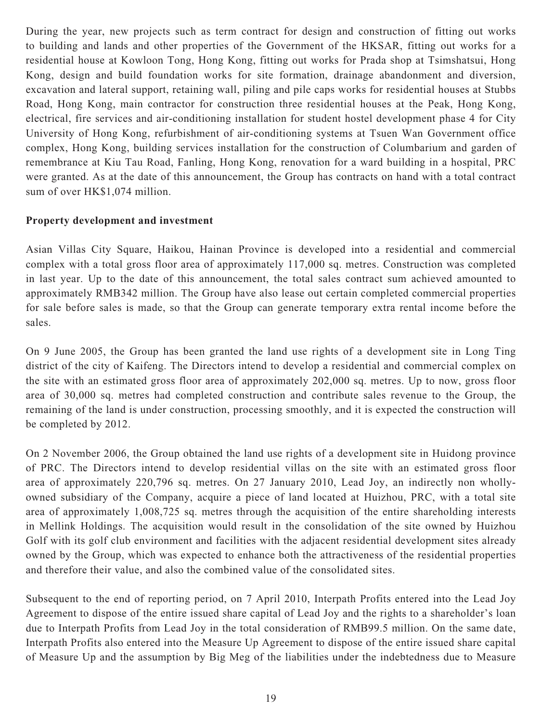During the year, new projects such as term contract for design and construction of fitting out works to building and lands and other properties of the Government of the HKSAR, fitting out works for a residential house at Kowloon Tong, Hong Kong, fitting out works for Prada shop at Tsimshatsui, Hong Kong, design and build foundation works for site formation, drainage abandonment and diversion, excavation and lateral support, retaining wall, piling and pile caps works for residential houses at Stubbs Road, Hong Kong, main contractor for construction three residential houses at the Peak, Hong Kong, electrical, fire services and air-conditioning installation for student hostel development phase 4 for City University of Hong Kong, refurbishment of air-conditioning systems at Tsuen Wan Government office complex, Hong Kong, building services installation for the construction of Columbarium and garden of remembrance at Kiu Tau Road, Fanling, Hong Kong, renovation for a ward building in a hospital, PRC were granted. As at the date of this announcement, the Group has contracts on hand with a total contract sum of over HK\$1,074 million.

## **Property development and investment**

Asian Villas City Square, Haikou, Hainan Province is developed into a residential and commercial complex with a total gross floor area of approximately 117,000 sq. metres. Construction was completed in last year. Up to the date of this announcement, the total sales contract sum achieved amounted to approximately RMB342 million. The Group have also lease out certain completed commercial properties for sale before sales is made, so that the Group can generate temporary extra rental income before the sales.

On 9 June 2005, the Group has been granted the land use rights of a development site in Long Ting district of the city of Kaifeng. The Directors intend to develop a residential and commercial complex on the site with an estimated gross floor area of approximately 202,000 sq. metres. Up to now, gross floor area of 30,000 sq. metres had completed construction and contribute sales revenue to the Group, the remaining of the land is under construction, processing smoothly, and it is expected the construction will be completed by 2012.

On 2 November 2006, the Group obtained the land use rights of a development site in Huidong province of PRC. The Directors intend to develop residential villas on the site with an estimated gross floor area of approximately 220,796 sq. metres. On 27 January 2010, Lead Joy, an indirectly non whollyowned subsidiary of the Company, acquire a piece of land located at Huizhou, PRC, with a total site area of approximately 1,008,725 sq. metres through the acquisition of the entire shareholding interests in Mellink Holdings. The acquisition would result in the consolidation of the site owned by Huizhou Golf with its golf club environment and facilities with the adjacent residential development sites already owned by the Group, which was expected to enhance both the attractiveness of the residential properties and therefore their value, and also the combined value of the consolidated sites.

Subsequent to the end of reporting period, on 7 April 2010, Interpath Profits entered into the Lead Joy Agreement to dispose of the entire issued share capital of Lead Joy and the rights to a shareholder's loan due to Interpath Profits from Lead Joy in the total consideration of RMB99.5 million. On the same date, Interpath Profits also entered into the Measure Up Agreement to dispose of the entire issued share capital of Measure Up and the assumption by Big Meg of the liabilities under the indebtedness due to Measure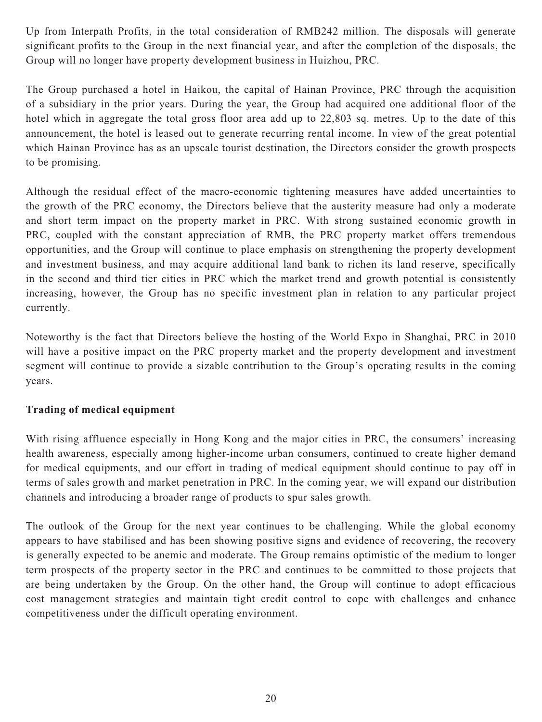Up from Interpath Profits, in the total consideration of RMB242 million. The disposals will generate significant profits to the Group in the next financial year, and after the completion of the disposals, the Group will no longer have property development business in Huizhou, PRC.

The Group purchased a hotel in Haikou, the capital of Hainan Province, PRC through the acquisition of a subsidiary in the prior years. During the year, the Group had acquired one additional floor of the hotel which in aggregate the total gross floor area add up to 22,803 sq. metres. Up to the date of this announcement, the hotel is leased out to generate recurring rental income. In view of the great potential which Hainan Province has as an upscale tourist destination, the Directors consider the growth prospects to be promising.

Although the residual effect of the macro-economic tightening measures have added uncertainties to the growth of the PRC economy, the Directors believe that the austerity measure had only a moderate and short term impact on the property market in PRC. With strong sustained economic growth in PRC, coupled with the constant appreciation of RMB, the PRC property market offers tremendous opportunities, and the Group will continue to place emphasis on strengthening the property development and investment business, and may acquire additional land bank to richen its land reserve, specifically in the second and third tier cities in PRC which the market trend and growth potential is consistently increasing, however, the Group has no specific investment plan in relation to any particular project currently.

Noteworthy is the fact that Directors believe the hosting of the World Expo in Shanghai, PRC in 2010 will have a positive impact on the PRC property market and the property development and investment segment will continue to provide a sizable contribution to the Group's operating results in the coming years.

# **Trading of medical equipment**

With rising affluence especially in Hong Kong and the major cities in PRC, the consumers' increasing health awareness, especially among higher-income urban consumers, continued to create higher demand for medical equipments, and our effort in trading of medical equipment should continue to pay off in terms of sales growth and market penetration in PRC. In the coming year, we will expand our distribution channels and introducing a broader range of products to spur sales growth.

The outlook of the Group for the next year continues to be challenging. While the global economy appears to have stabilised and has been showing positive signs and evidence of recovering, the recovery is generally expected to be anemic and moderate. The Group remains optimistic of the medium to longer term prospects of the property sector in the PRC and continues to be committed to those projects that are being undertaken by the Group. On the other hand, the Group will continue to adopt efficacious cost management strategies and maintain tight credit control to cope with challenges and enhance competitiveness under the difficult operating environment.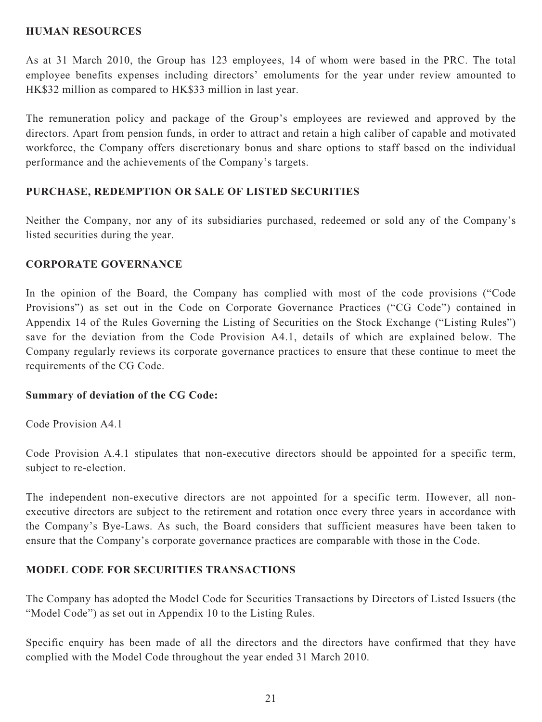## **HUMAN RESOURCES**

As at 31 March 2010, the Group has 123 employees, 14 of whom were based in the PRC. The total employee benefits expenses including directors' emoluments for the year under review amounted to HK\$32 million as compared to HK\$33 million in last year.

The remuneration policy and package of the Group's employees are reviewed and approved by the directors. Apart from pension funds, in order to attract and retain a high caliber of capable and motivated workforce, the Company offers discretionary bonus and share options to staff based on the individual performance and the achievements of the Company's targets.

## **PURCHASE, REDEMPTION OR SALE OF LISTED SECURITIES**

Neither the Company, nor any of its subsidiaries purchased, redeemed or sold any of the Company's listed securities during the year.

## **CORPORATE GOVERNANCE**

In the opinion of the Board, the Company has complied with most of the code provisions ("Code Provisions") as set out in the Code on Corporate Governance Practices ("CG Code") contained in Appendix 14 of the Rules Governing the Listing of Securities on the Stock Exchange ("Listing Rules") save for the deviation from the Code Provision A4.1, details of which are explained below. The Company regularly reviews its corporate governance practices to ensure that these continue to meet the requirements of the CG Code.

## **Summary of deviation of the CG Code:**

Code Provision A4.1

Code Provision A.4.1 stipulates that non-executive directors should be appointed for a specific term, subject to re-election.

The independent non-executive directors are not appointed for a specific term. However, all nonexecutive directors are subject to the retirement and rotation once every three years in accordance with the Company's Bye-Laws. As such, the Board considers that sufficient measures have been taken to ensure that the Company's corporate governance practices are comparable with those in the Code.

## **MODEL CODE FOR SECURITIES TRANSACTIONS**

The Company has adopted the Model Code for Securities Transactions by Directors of Listed Issuers (the "Model Code") as set out in Appendix 10 to the Listing Rules.

Specific enquiry has been made of all the directors and the directors have confirmed that they have complied with the Model Code throughout the year ended 31 March 2010.